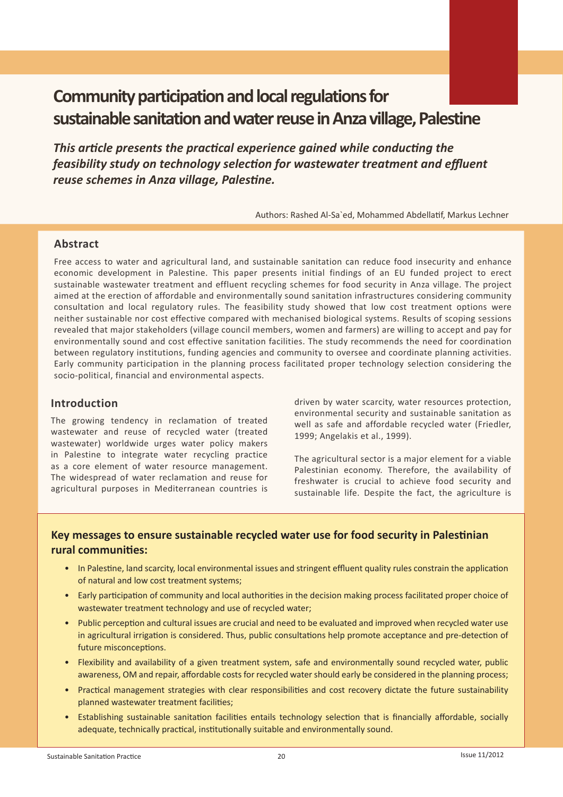# **Community participation and local regulations for sustainable sanitation and water reuse in Anza village, Palestine**

*This article presents the practical experience gained while conducting the feasibility study on technology selection for wastewater treatment and effluent reuse schemes in Anza village, Palestine.* 

 Authors: Rashed Al-Sa`ed, Mohammed Abdellatif, Markus Lechner

## **Abstract**

Free access to water and agricultural land, and sustainable sanitation can reduce food insecurity and enhance economic development in Palestine. This paper presents initial findings of an EU funded project to erect sustainable wastewater treatment and effluent recycling schemes for food security in Anza village. The project aimed at the erection of affordable and environmentally sound sanitation infrastructures considering community consultation and local regulatory rules. The feasibility study showed that low cost treatment options were neither sustainable nor cost effective compared with mechanised biological systems. Results of scoping sessions revealed that major stakeholders (village council members, women and farmers) are willing to accept and pay for environmentally sound and cost effective sanitation facilities. The study recommends the need for coordination between regulatory institutions, funding agencies and community to oversee and coordinate planning activities. Early community participation in the planning process facilitated proper technology selection considering the socio-political, financial and environmental aspects.

## **Introduction**

The growing tendency in reclamation of treated wastewater and reuse of recycled water (treated wastewater) worldwide urges water policy makers in Palestine to integrate water recycling practice as a core element of water resource management. The widespread of water reclamation and reuse for agricultural purposes in Mediterranean countries is driven by water scarcity, water resources protection, environmental security and sustainable sanitation as well as safe and affordable recycled water (Friedler, 1999; Angelakis et al., 1999).

The agricultural sector is a major element for a viable Palestinian economy. Therefore, the availability of freshwater is crucial to achieve food security and sustainable life. Despite the fact, the agriculture is

# **Key messages to ensure sustainable recycled water use for food security in Palestinian rural communities:**

- In Palestine, land scarcity, local environmental issues and stringent effluent quality rules constrain the application of natural and low cost treatment systems;
- Early participation of community and local authorities in the decision making process facilitated proper choice of wastewater treatment technology and use of recycled water;
- Public perception and cultural issues are crucial and need to be evaluated and improved when recycled water use in agricultural irrigation is considered. Thus, public consultations help promote acceptance and pre-detection of future misconceptions.
- Flexibility and availability of a given treatment system, safe and environmentally sound recycled water, public awareness, OM and repair, affordable costs for recycled water should early be considered in the planning process;
- Practical management strategies with clear responsibilities and cost recovery dictate the future sustainability planned wastewater treatment facilities;
- Establishing sustainable sanitation facilities entails technology selection that is financially affordable, socially adequate, technically practical, institutionally suitable and environmentally sound.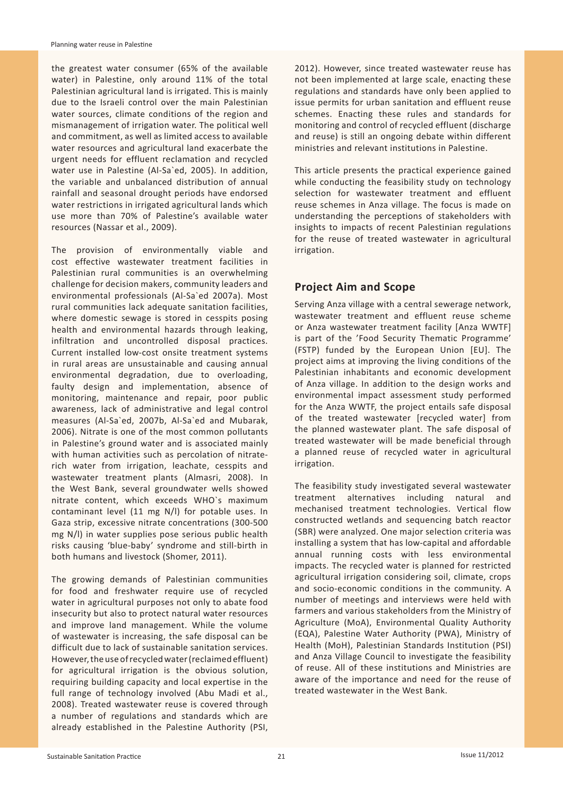the greatest water consumer (65% of the available water) in Palestine, only around 11% of the total Palestinian agricultural land is irrigated. This is mainly due to the Israeli control over the main Palestinian water sources, climate conditions of the region and mismanagement of irrigation water. The political well and commitment, as well as limited access to available water resources and agricultural land exacerbate the urgent needs for effluent reclamation and recycled water use in Palestine (Al-Sa`ed, 2005). In addition, the variable and unbalanced distribution of annual rainfall and seasonal drought periods have endorsed water restrictions in irrigated agricultural lands which use more than 70% of Palestine's available water resources (Nassar et al., 2009).

The provision of environmentally viable and cost effective wastewater treatment facilities in Palestinian rural communities is an overwhelming challenge for decision makers, community leaders and environmental professionals (Al-Sa`ed 2007a). Most rural communities lack adequate sanitation facilities, where domestic sewage is stored in cesspits posing health and environmental hazards through leaking, infiltration and uncontrolled disposal practices. Current installed low-cost onsite treatment systems in rural areas are unsustainable and causing annual environmental degradation, due to overloading, faulty design and implementation, absence of monitoring, maintenance and repair, poor public awareness, lack of administrative and legal control measures (Al-Sa`ed, 2007b, Al-Sa`ed and Mubarak, 2006). Nitrate is one of the most common pollutants in Palestine's ground water and is associated mainly with human activities such as percolation of nitraterich water from irrigation, leachate, cesspits and wastewater treatment plants (Almasri, 2008). In the West Bank, several groundwater wells showed nitrate content, which exceeds WHO`s maximum contaminant level (11 mg N/l) for potable uses. In Gaza strip, excessive nitrate concentrations (300-500 mg N/l) in water supplies pose serious public health risks causing 'blue-baby' syndrome and still-birth in both humans and livestock (Shomer, 2011).

The growing demands of Palestinian communities for food and freshwater require use of recycled water in agricultural purposes not only to abate food insecurity but also to protect natural water resources and improve land management. While the volume of wastewater is increasing, the safe disposal can be difficult due to lack of sustainable sanitation services. However, the use of recycled water (reclaimed effluent) for agricultural irrigation is the obvious solution, requiring building capacity and local expertise in the full range of technology involved (Abu Madi et al., 2008). Treated wastewater reuse is covered through a number of regulations and standards which are already established in the Palestine Authority (PSI, 2012). However, since treated wastewater reuse has not been implemented at large scale, enacting these regulations and standards have only been applied to issue permits for urban sanitation and effluent reuse schemes. Enacting these rules and standards for monitoring and control of recycled effluent (discharge and reuse) is still an ongoing debate within different ministries and relevant institutions in Palestine.

This article presents the practical experience gained while conducting the feasibility study on technology selection for wastewater treatment and effluent reuse schemes in Anza village. The focus is made on understanding the perceptions of stakeholders with insights to impacts of recent Palestinian regulations for the reuse of treated wastewater in agricultural irrigation.

## **Project Aim and Scope**

Serving Anza village with a central sewerage network, wastewater treatment and effluent reuse scheme or Anza wastewater treatment facility [Anza WWTF] is part of the 'Food Security Thematic Programme' (FSTP) funded by the European Union [EU]. The project aims at improving the living conditions of the Palestinian inhabitants and economic development of Anza village. In addition to the design works and environmental impact assessment study performed for the Anza WWTF, the project entails safe disposal of the treated wastewater [recycled water] from the planned wastewater plant. The safe disposal of treated wastewater will be made beneficial through a planned reuse of recycled water in agricultural irrigation.

The feasibility study investigated several wastewater treatment alternatives including natural and mechanised treatment technologies. Vertical flow constructed wetlands and sequencing batch reactor (SBR) were analyzed. One major selection criteria was installing a system that has low-capital and affordable annual running costs with less environmental impacts. The recycled water is planned for restricted agricultural irrigation considering soil, climate, crops and socio-economic conditions in the community. A number of meetings and interviews were held with farmers and various stakeholders from the Ministry of Agriculture (MoA), Environmental Quality Authority (EQA), Palestine Water Authority (PWA), Ministry of Health (MoH), Palestinian Standards Institution (PSI) and Anza Village Council to investigate the feasibility of reuse. All of these institutions and Ministries are aware of the importance and need for the reuse of treated wastewater in the West Bank.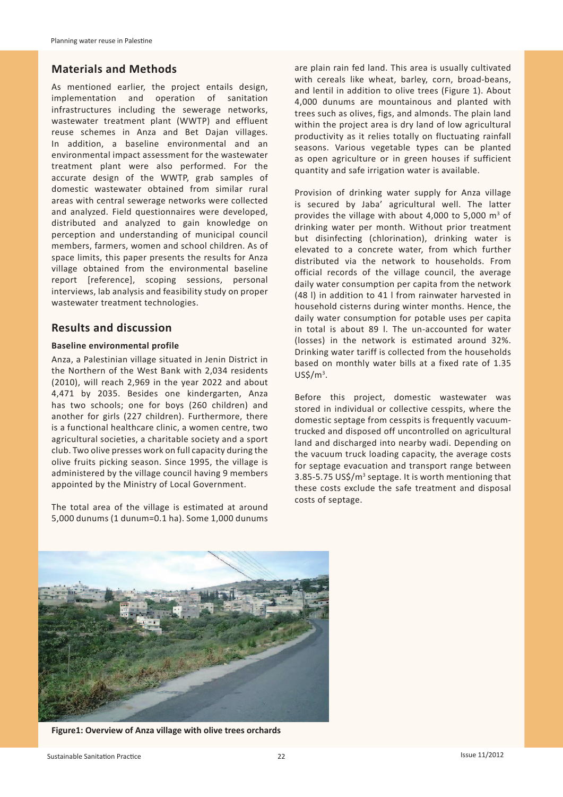## **Materials and Methods**

As mentioned earlier, the project entails design, implementation and operation of sanitation infrastructures including the sewerage networks, wastewater treatment plant (WWTP) and effluent reuse schemes in Anza and Bet Dajan villages. In addition, a baseline environmental and an environmental impact assessment for the wastewater treatment plant were also performed. For the accurate design of the WWTP, grab samples of domestic wastewater obtained from similar rural areas with central sewerage networks were collected and analyzed. Field questionnaires were developed, distributed and analyzed to gain knowledge on perception and understanding of municipal council members, farmers, women and school children. As of space limits, this paper presents the results for Anza village obtained from the environmental baseline report [reference], scoping sessions, personal interviews, lab analysis and feasibility study on proper wastewater treatment technologies.

## **Results and discussion**

### **Baseline environmental profile**

Anza, a Palestinian village situated in Jenin District in the Northern of the West Bank with 2,034 residents (2010), will reach 2,969 in the year 2022 and about 4,471 by 2035. Besides one kindergarten, Anza has two schools; one for boys (260 children) and another for girls (227 children). Furthermore, there is a functional healthcare clinic, a women centre, two agricultural societies, a charitable society and a sport club. Two olive presses work on full capacity during the olive fruits picking season. Since 1995, the village is administered by the village council having 9 members appointed by the Ministry of Local Government.

The total area of the village is estimated at around 5,000 dunums (1 dunum=0.1 ha). Some 1,000 dunums are plain rain fed land. This area is usually cultivated with cereals like wheat, barley, corn, broad-beans, and lentil in addition to olive trees (Figure 1). About 4,000 dunums are mountainous and planted with trees such as olives, figs, and almonds. The plain land within the project area is dry land of low agricultural productivity as it relies totally on fluctuating rainfall seasons. Various vegetable types can be planted as open agriculture or in green houses if sufficient quantity and safe irrigation water is available.

Provision of drinking water supply for Anza village is secured by Jaba' agricultural well. The latter provides the village with about 4,000 to 5,000  $m^3$  of drinking water per month. Without prior treatment but disinfecting (chlorination), drinking water is elevated to a concrete water, from which further distributed via the network to households. From official records of the village council, the average daily water consumption per capita from the network (48 l) in addition to 41 l from rainwater harvested in household cisterns during winter months. Hence, the daily water consumption for potable uses per capita in total is about 89 l. The un-accounted for water (losses) in the network is estimated around 32%. Drinking water tariff is collected from the households based on monthly water bills at a fixed rate of 1.35  $US$/m^3$ .

Before this project, domestic wastewater was stored in individual or collective cesspits, where the domestic septage from cesspits is frequently vacuumtrucked and disposed off uncontrolled on agricultural land and discharged into nearby wadi. Depending on the vacuum truck loading capacity, the average costs for septage evacuation and transport range between 3.85-5.75 US\$/m<sup>3</sup> septage. It is worth mentioning that these costs exclude the safe treatment and disposal costs of septage.



**Figure1: Overview of Anza village with olive trees orchards**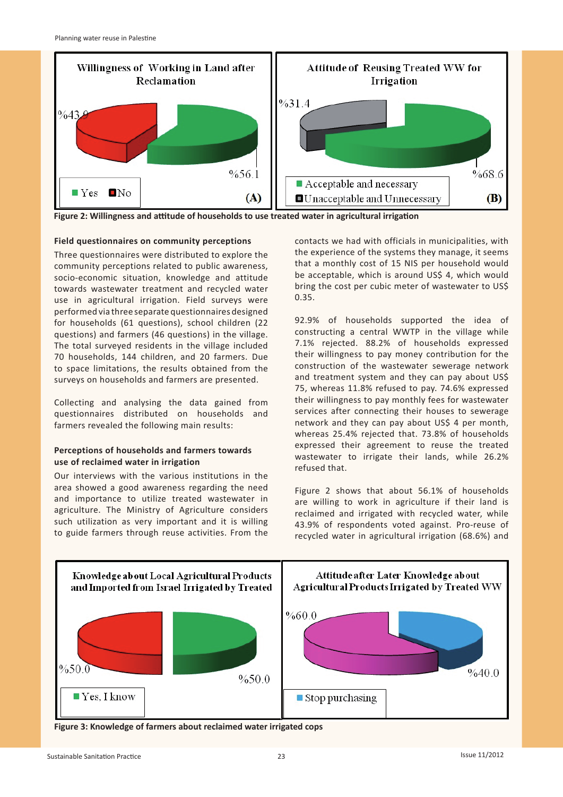

**Figure 2: Willingness and attitude of households to use treated water in agricultural irrigation**

#### **Field questionnaires on community perceptions**

Three questionnaires were distributed to explore the community perceptions related to public awareness, socio-economic situation, knowledge and attitude towards wastewater treatment and recycled water use in agricultural irrigation. Field surveys were performed via three separate questionnaires designed for households (61 questions), school children (22 questions) and farmers (46 questions) in the village. The total surveyed residents in the village included 70 households, 144 children, and 20 farmers. Due to space limitations, the results obtained from the surveys on households and farmers are presented.

Collecting and analysing the data gained from questionnaires distributed on households and farmers revealed the following main results:

### **Perceptions of households and farmers towards use of reclaimed water in irrigation**

Our interviews with the various institutions in the area showed a good awareness regarding the need and importance to utilize treated wastewater in agriculture. The Ministry of Agriculture considers such utilization as very important and it is willing to guide farmers through reuse activities. From the contacts we had with officials in municipalities, with the experience of the systems they manage, it seems that a monthly cost of 15 NIS per household would be acceptable, which is around US\$ 4, which would bring the cost per cubic meter of wastewater to US\$ 0.35.

92.9% of households supported the idea of constructing a central WWTP in the village while 7.1% rejected. 88.2% of households expressed their willingness to pay money contribution for the construction of the wastewater sewerage network and treatment system and they can pay about US\$ 75, whereas 11.8% refused to pay. 74.6% expressed their willingness to pay monthly fees for wastewater services after connecting their houses to sewerage network and they can pay about US\$ 4 per month, whereas 25.4% rejected that. 73.8% of households expressed their agreement to reuse the treated wastewater to irrigate their lands, while 26.2% refused that.

Figure 2 shows that about 56.1% of households are willing to work in agriculture if their land is reclaimed and irrigated with recycled water, while 43.9% of respondents voted against. Pro-reuse of recycled water in agricultural irrigation (68.6%) and



**Figure 3: Knowledge of farmers about reclaimed water irrigated cops**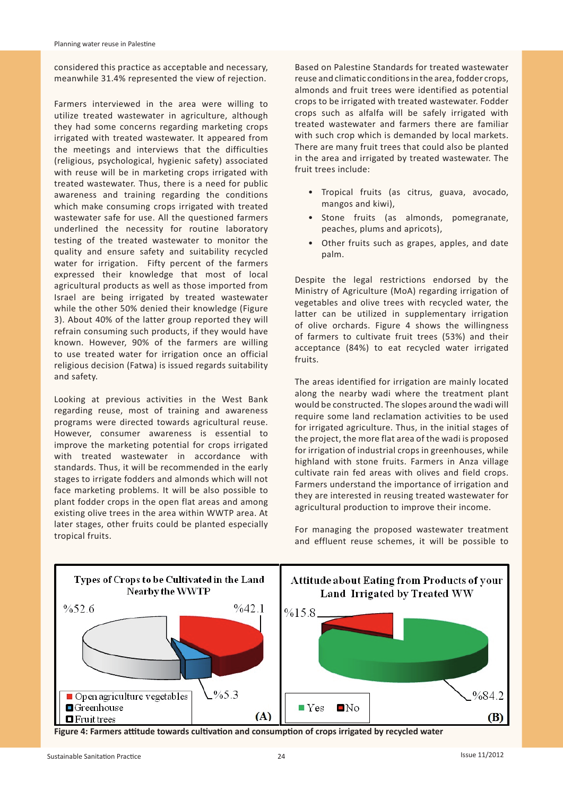considered this practice as acceptable and necessary, meanwhile 31.4% represented the view of rejection.

Farmers interviewed in the area were willing to utilize treated wastewater in agriculture, although they had some concerns regarding marketing crops irrigated with treated wastewater. It appeared from the meetings and interviews that the difficulties (religious, psychological, hygienic safety) associated with reuse will be in marketing crops irrigated with treated wastewater. Thus, there is a need for public awareness and training regarding the conditions which make consuming crops irrigated with treated wastewater safe for use. All the questioned farmers underlined the necessity for routine laboratory testing of the treated wastewater to monitor the quality and ensure safety and suitability recycled water for irrigation. Fifty percent of the farmers expressed their knowledge that most of local agricultural products as well as those imported from Israel are being irrigated by treated wastewater while the other 50% denied their knowledge (Figure 3). About 40% of the latter group reported they will refrain consuming such products, if they would have known. However, 90% of the farmers are willing to use treated water for irrigation once an official religious decision (Fatwa) is issued regards suitability and safety.

Looking at previous activities in the West Bank regarding reuse, most of training and awareness programs were directed towards agricultural reuse. However, consumer awareness is essential to improve the marketing potential for crops irrigated with treated wastewater in accordance with standards. Thus, it will be recommended in the early stages to irrigate fodders and almonds which will not face marketing problems. It will be also possible to plant fodder crops in the open flat areas and among existing olive trees in the area within WWTP area. At later stages, other fruits could be planted especially tropical fruits.

Based on Palestine Standards for treated wastewater reuse and climatic conditions in the area, fodder crops, almonds and fruit trees were identified as potential crops to be irrigated with treated wastewater. Fodder crops such as alfalfa will be safely irrigated with treated wastewater and farmers there are familiar with such crop which is demanded by local markets. There are many fruit trees that could also be planted in the area and irrigated by treated wastewater. The fruit trees include:

- Tropical fruits (as citrus, guava, avocado, mangos and kiwi),
- Stone fruits (as almonds, pomegranate, peaches, plums and apricots),
- Other fruits such as grapes, apples, and date palm.

Despite the legal restrictions endorsed by the Ministry of Agriculture (MoA) regarding irrigation of vegetables and olive trees with recycled water, the latter can be utilized in supplementary irrigation of olive orchards. Figure 4 shows the willingness of farmers to cultivate fruit trees (53%) and their acceptance (84%) to eat recycled water irrigated fruits.

The areas identified for irrigation are mainly located along the nearby wadi where the treatment plant would be constructed. The slopes around the wadi will require some land reclamation activities to be used for irrigated agriculture. Thus, in the initial stages of the project, the more flat area of the wadi is proposed for irrigation of industrial crops in greenhouses, while highland with stone fruits. Farmers in Anza village cultivate rain fed areas with olives and field crops. Farmers understand the importance of irrigation and they are interested in reusing treated wastewater for agricultural production to improve their income.

For managing the proposed wastewater treatment and effluent reuse schemes, it will be possible to



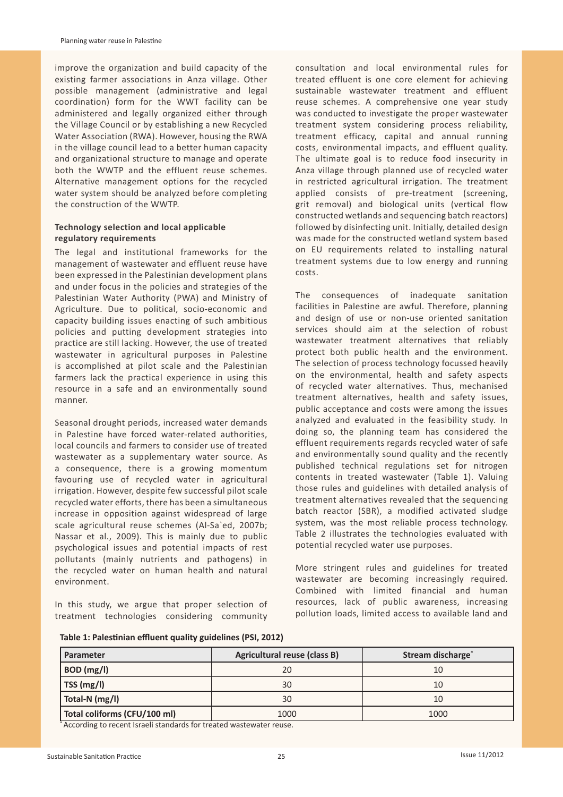improve the organization and build capacity of the existing farmer associations in Anza village. Other possible management (administrative and legal coordination) form for the WWT facility can be administered and legally organized either through the Village Council or by establishing a new Recycled Water Association (RWA). However, housing the RWA in the village council lead to a better human capacity and organizational structure to manage and operate both the WWTP and the effluent reuse schemes. Alternative management options for the recycled water system should be analyzed before completing the construction of the WWTP.

## **Technology selection and local applicable regulatory requirements**

The legal and institutional frameworks for the management of wastewater and effluent reuse have been expressed in the Palestinian development plans and under focus in the policies and strategies of the Palestinian Water Authority (PWA) and Ministry of Agriculture. Due to political, socio-economic and capacity building issues enacting of such ambitious policies and putting development strategies into practice are still lacking. However, the use of treated wastewater in agricultural purposes in Palestine is accomplished at pilot scale and the Palestinian farmers lack the practical experience in using this resource in a safe and an environmentally sound manner.

Seasonal drought periods, increased water demands in Palestine have forced water-related authorities, local councils and farmers to consider use of treated wastewater as a supplementary water source. As a consequence, there is a growing momentum favouring use of recycled water in agricultural irrigation. However, despite few successful pilot scale recycled water efforts, there has been a simultaneous increase in opposition against widespread of large scale agricultural reuse schemes (Al-Sa`ed, 2007b; Nassar et al., 2009). This is mainly due to public psychological issues and potential impacts of rest pollutants (mainly nutrients and pathogens) in the recycled water on human health and natural environment.

In this study, we argue that proper selection of treatment technologies considering community

consultation and local environmental rules for treated effluent is one core element for achieving sustainable wastewater treatment and effluent reuse schemes. A comprehensive one year study was conducted to investigate the proper wastewater treatment system considering process reliability, treatment efficacy, capital and annual running costs, environmental impacts, and effluent quality. The ultimate goal is to reduce food insecurity in Anza village through planned use of recycled water in restricted agricultural irrigation. The treatment applied consists of pre-treatment (screening, grit removal) and biological units (vertical flow constructed wetlands and sequencing batch reactors) followed by disinfecting unit. Initially, detailed design was made for the constructed wetland system based on EU requirements related to installing natural treatment systems due to low energy and running costs.

The consequences of inadequate sanitation facilities in Palestine are awful. Therefore, planning and design of use or non-use oriented sanitation services should aim at the selection of robust wastewater treatment alternatives that reliably protect both public health and the environment. The selection of process technology focussed heavily on the environmental, health and safety aspects of recycled water alternatives. Thus, mechanised treatment alternatives, health and safety issues, public acceptance and costs were among the issues analyzed and evaluated in the feasibility study. In doing so, the planning team has considered the effluent requirements regards recycled water of safe and environmentally sound quality and the recently published technical regulations set for nitrogen contents in treated wastewater (Table 1). Valuing those rules and guidelines with detailed analysis of treatment alternatives revealed that the sequencing batch reactor (SBR), a modified activated sludge system, was the most reliable process technology. Table 2 illustrates the technologies evaluated with potential recycled water use purposes.

More stringent rules and guidelines for treated wastewater are becoming increasingly required. Combined with limited financial and human resources, lack of public awareness, increasing pollution loads, limited access to available land and

| Table 1: Palestinian effluent quality guidelines (PSI, 2012) |  |  |
|--------------------------------------------------------------|--|--|
|                                                              |  |  |

| Parameter                    | <b>Agricultural reuse (class B)</b> | Stream discharge <sup>*</sup> |
|------------------------------|-------------------------------------|-------------------------------|
| BOD (mg/l)                   | 20                                  | 10                            |
| TSS (mg/l)                   | 30                                  | 10                            |
| Total-N (mg/l)               | 30                                  | 10                            |
| Total coliforms (CFU/100 ml) | 1000                                | 1000                          |

\* According to recent Israeli standards for treated wastewater reuse.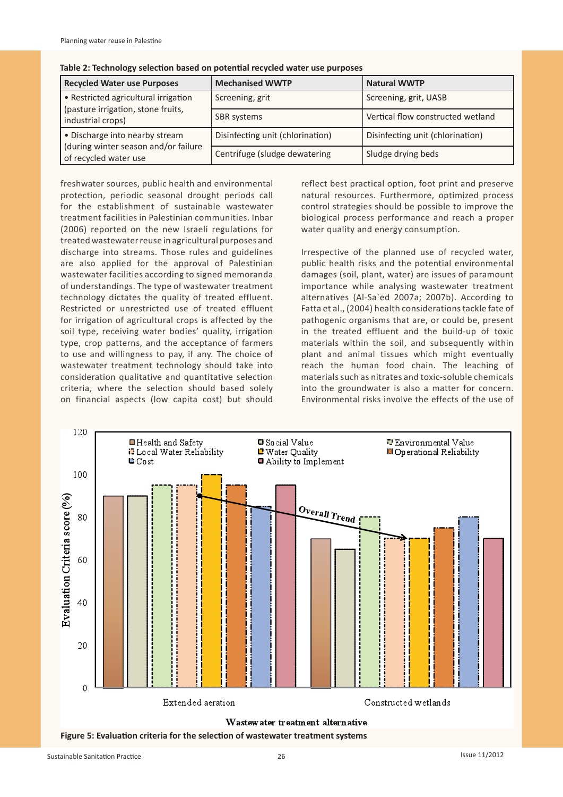| <b>Recycled Water use Purposes</b>                            | <b>Mechanised WWTP</b>           | <b>Natural WWTP</b>               |  |
|---------------------------------------------------------------|----------------------------------|-----------------------------------|--|
| • Restricted agricultural irrigation                          | Screening, grit                  | Screening, grit, UASB             |  |
| (pasture irrigation, stone fruits,<br>industrial crops)       | SBR systems                      | Vertical flow constructed wetland |  |
| • Discharge into nearby stream                                | Disinfecting unit (chlorination) | Disinfecting unit (chlorination)  |  |
| (during winter season and/or failure<br>of recycled water use | Centrifuge (sludge dewatering    | Sludge drying beds                |  |

**Table 2: Technology selection based on potential recycled water use purposes**

freshwater sources, public health and environmental protection, periodic seasonal drought periods call for the establishment of sustainable wastewater treatment facilities in Palestinian communities. Inbar (2006) reported on the new Israeli regulations for treated wastewater reuse in agricultural purposes and discharge into streams. Those rules and guidelines are also applied for the approval of Palestinian wastewater facilities according to signed memoranda of understandings. The type of wastewater treatment technology dictates the quality of treated effluent. Restricted or unrestricted use of treated effluent for irrigation of agricultural crops is affected by the soil type, receiving water bodies' quality, irrigation type, crop patterns, and the acceptance of farmers to use and willingness to pay, if any. The choice of wastewater treatment technology should take into consideration qualitative and quantitative selection criteria, where the selection should based solely on financial aspects (low capita cost) but should

reflect best practical option, foot print and preserve natural resources. Furthermore, optimized process control strategies should be possible to improve the biological process performance and reach a proper water quality and energy consumption.

Irrespective of the planned use of recycled water, public health risks and the potential environmental damages (soil, plant, water) are issues of paramount importance while analysing wastewater treatment alternatives (Al-Sa`ed 2007a; 2007b). According to Fatta et al., (2004) health considerations tackle fate of pathogenic organisms that are, or could be, present in the treated effluent and the build-up of toxic materials within the soil, and subsequently within plant and animal tissues which might eventually reach the human food chain. The leaching of materials such as nitrates and toxic-soluble chemicals into the groundwater is also a matter for concern. Environmental risks involve the effects of the use of

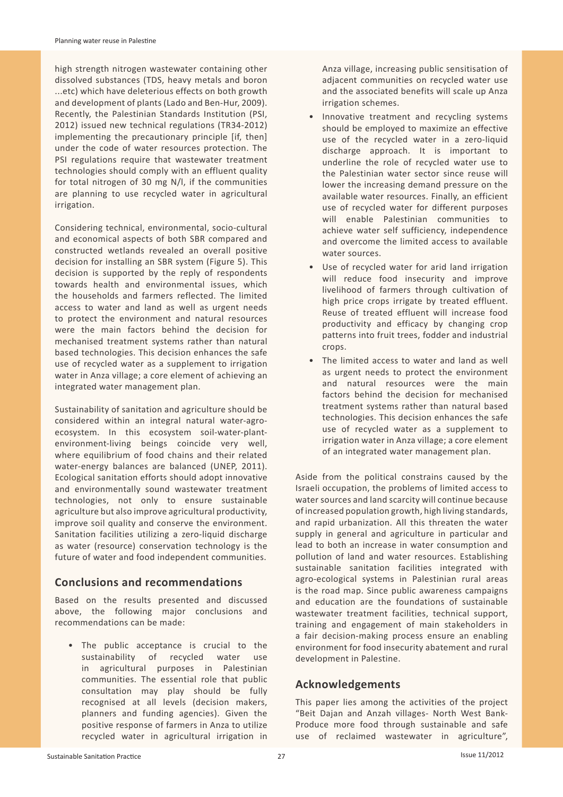high strength nitrogen wastewater containing other dissolved substances (TDS, heavy metals and boron ...etc) which have deleterious effects on both growth and development of plants (Lado and Ben-Hur, 2009). Recently, the Palestinian Standards Institution (PSI, 2012) issued new technical regulations (TR34-2012) implementing the precautionary principle [if, then] under the code of water resources protection. The PSI regulations require that wastewater treatment technologies should comply with an effluent quality for total nitrogen of 30 mg N/l, if the communities are planning to use recycled water in agricultural irrigation.

Considering technical, environmental, socio-cultural and economical aspects of both SBR compared and constructed wetlands revealed an overall positive decision for installing an SBR system (Figure 5). This decision is supported by the reply of respondents towards health and environmental issues, which the households and farmers reflected. The limited access to water and land as well as urgent needs to protect the environment and natural resources were the main factors behind the decision for mechanised treatment systems rather than natural based technologies. This decision enhances the safe use of recycled water as a supplement to irrigation water in Anza village; a core element of achieving an integrated water management plan.

Sustainability of sanitation and agriculture should be considered within an integral natural water-agroecosystem. In this ecosystem soil-water-plantenvironment-living beings coincide very well, where equilibrium of food chains and their related water-energy balances are balanced (UNEP, 2011). Ecological sanitation efforts should adopt innovative and environmentally sound wastewater treatment technologies, not only to ensure sustainable agriculture but also improve agricultural productivity, improve soil quality and conserve the environment. Sanitation facilities utilizing a zero-liquid discharge as water (resource) conservation technology is the future of water and food independent communities.

## **Conclusions and recommendations**

Based on the results presented and discussed above, the following major conclusions and recommendations can be made:

The public acceptance is crucial to the sustainability of recycled water use in agricultural purposes in Palestinian communities. The essential role that public consultation may play should be fully recognised at all levels (decision makers, planners and funding agencies). Given the positive response of farmers in Anza to utilize recycled water in agricultural irrigation in

Anza village, increasing public sensitisation of adjacent communities on recycled water use and the associated benefits will scale up Anza irrigation schemes.

- Innovative treatment and recycling systems should be employed to maximize an effective use of the recycled water in a zero-liquid discharge approach. It is important to underline the role of recycled water use to the Palestinian water sector since reuse will lower the increasing demand pressure on the available water resources. Finally, an efficient use of recycled water for different purposes will enable Palestinian communities to achieve water self sufficiency, independence and overcome the limited access to available water sources.
- Use of recycled water for arid land irrigation will reduce food insecurity and improve livelihood of farmers through cultivation of high price crops irrigate by treated effluent. Reuse of treated effluent will increase food productivity and efficacy by changing crop patterns into fruit trees, fodder and industrial crops.
- The limited access to water and land as well as urgent needs to protect the environment and natural resources were the main factors behind the decision for mechanised treatment systems rather than natural based technologies. This decision enhances the safe use of recycled water as a supplement to irrigation water in Anza village; a core element of an integrated water management plan.

Aside from the political constrains caused by the Israeli occupation, the problems of limited access to water sources and land scarcity will continue because of increased population growth, high living standards, and rapid urbanization. All this threaten the water supply in general and agriculture in particular and lead to both an increase in water consumption and pollution of land and water resources. Establishing sustainable sanitation facilities integrated with agro-ecological systems in Palestinian rural areas is the road map. Since public awareness campaigns and education are the foundations of sustainable wastewater treatment facilities, technical support, training and engagement of main stakeholders in a fair decision-making process ensure an enabling environment for food insecurity abatement and rural development in Palestine.

## **Acknowledgements**

This paper lies among the activities of the project "Beit Dajan and Anzah villages- North West Bank-Produce more food through sustainable and safe use of reclaimed wastewater in agriculture",